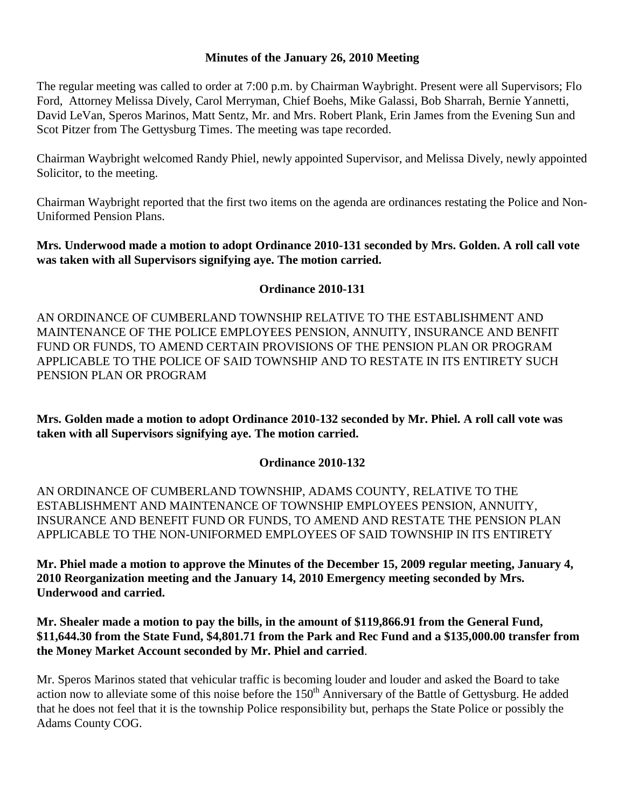#### **Minutes of the January 26, 2010 Meeting**

The regular meeting was called to order at 7:00 p.m. by Chairman Waybright. Present were all Supervisors; Flo Ford, Attorney Melissa Dively, Carol Merryman, Chief Boehs, Mike Galassi, Bob Sharrah, Bernie Yannetti, David LeVan, Speros Marinos, Matt Sentz, Mr. and Mrs. Robert Plank, Erin James from the Evening Sun and Scot Pitzer from The Gettysburg Times. The meeting was tape recorded.

Chairman Waybright welcomed Randy Phiel, newly appointed Supervisor, and Melissa Dively, newly appointed Solicitor, to the meeting.

Chairman Waybright reported that the first two items on the agenda are ordinances restating the Police and Non-Uniformed Pension Plans.

**Mrs. Underwood made a motion to adopt Ordinance 2010-131 seconded by Mrs. Golden. A roll call vote was taken with all Supervisors signifying aye. The motion carried.**

### **Ordinance 2010-131**

AN ORDINANCE OF CUMBERLAND TOWNSHIP RELATIVE TO THE ESTABLISHMENT AND MAINTENANCE OF THE POLICE EMPLOYEES PENSION, ANNUITY, INSURANCE AND BENFIT FUND OR FUNDS, TO AMEND CERTAIN PROVISIONS OF THE PENSION PLAN OR PROGRAM APPLICABLE TO THE POLICE OF SAID TOWNSHIP AND TO RESTATE IN ITS ENTIRETY SUCH PENSION PLAN OR PROGRAM

**Mrs. Golden made a motion to adopt Ordinance 2010-132 seconded by Mr. Phiel. A roll call vote was taken with all Supervisors signifying aye. The motion carried.**

### **Ordinance 2010-132**

AN ORDINANCE OF CUMBERLAND TOWNSHIP, ADAMS COUNTY, RELATIVE TO THE ESTABLISHMENT AND MAINTENANCE OF TOWNSHIP EMPLOYEES PENSION, ANNUITY, INSURANCE AND BENEFIT FUND OR FUNDS, TO AMEND AND RESTATE THE PENSION PLAN APPLICABLE TO THE NON-UNIFORMED EMPLOYEES OF SAID TOWNSHIP IN ITS ENTIRETY

**Mr. Phiel made a motion to approve the Minutes of the December 15, 2009 regular meeting, January 4, 2010 Reorganization meeting and the January 14, 2010 Emergency meeting seconded by Mrs. Underwood and carried.**

**Mr. Shealer made a motion to pay the bills, in the amount of \$119,866.91 from the General Fund, \$11,644.30 from the State Fund, \$4,801.71 from the Park and Rec Fund and a \$135,000.00 transfer from the Money Market Account seconded by Mr. Phiel and carried**.

Mr. Speros Marinos stated that vehicular traffic is becoming louder and louder and asked the Board to take action now to alleviate some of this noise before the  $150<sup>th</sup>$  Anniversary of the Battle of Gettysburg. He added that he does not feel that it is the township Police responsibility but, perhaps the State Police or possibly the Adams County COG.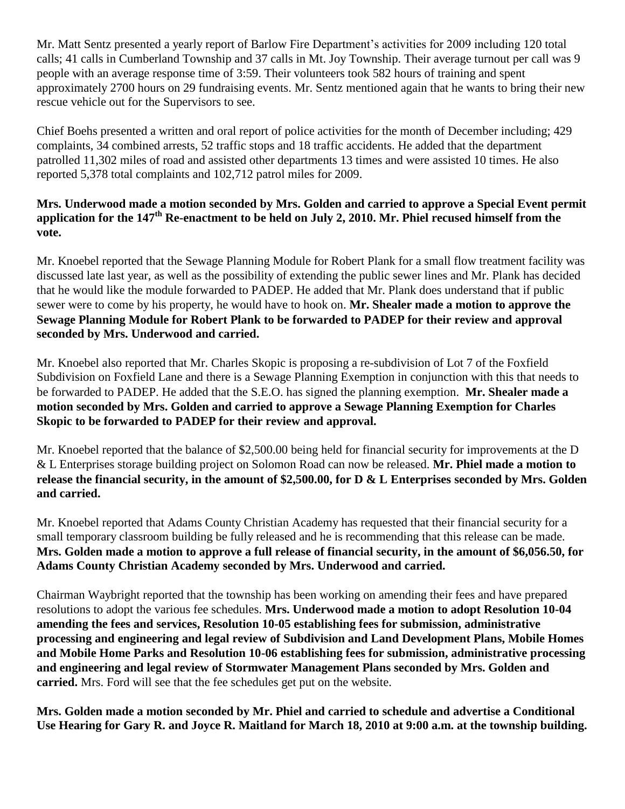Mr. Matt Sentz presented a yearly report of Barlow Fire Department's activities for 2009 including 120 total calls; 41 calls in Cumberland Township and 37 calls in Mt. Joy Township. Their average turnout per call was 9 people with an average response time of 3:59. Their volunteers took 582 hours of training and spent approximately 2700 hours on 29 fundraising events. Mr. Sentz mentioned again that he wants to bring their new rescue vehicle out for the Supervisors to see.

Chief Boehs presented a written and oral report of police activities for the month of December including; 429 complaints, 34 combined arrests, 52 traffic stops and 18 traffic accidents. He added that the department patrolled 11,302 miles of road and assisted other departments 13 times and were assisted 10 times. He also reported 5,378 total complaints and 102,712 patrol miles for 2009.

# **Mrs. Underwood made a motion seconded by Mrs. Golden and carried to approve a Special Event permit application for the 147th Re-enactment to be held on July 2, 2010. Mr. Phiel recused himself from the vote.**

Mr. Knoebel reported that the Sewage Planning Module for Robert Plank for a small flow treatment facility was discussed late last year, as well as the possibility of extending the public sewer lines and Mr. Plank has decided that he would like the module forwarded to PADEP. He added that Mr. Plank does understand that if public sewer were to come by his property, he would have to hook on. **Mr. Shealer made a motion to approve the Sewage Planning Module for Robert Plank to be forwarded to PADEP for their review and approval seconded by Mrs. Underwood and carried.**

Mr. Knoebel also reported that Mr. Charles Skopic is proposing a re-subdivision of Lot 7 of the Foxfield Subdivision on Foxfield Lane and there is a Sewage Planning Exemption in conjunction with this that needs to be forwarded to PADEP. He added that the S.E.O. has signed the planning exemption. **Mr. Shealer made a motion seconded by Mrs. Golden and carried to approve a Sewage Planning Exemption for Charles Skopic to be forwarded to PADEP for their review and approval.**

Mr. Knoebel reported that the balance of \$2,500.00 being held for financial security for improvements at the D & L Enterprises storage building project on Solomon Road can now be released. **Mr. Phiel made a motion to release the financial security, in the amount of \$2,500.00, for D & L Enterprises seconded by Mrs. Golden and carried.**

Mr. Knoebel reported that Adams County Christian Academy has requested that their financial security for a small temporary classroom building be fully released and he is recommending that this release can be made. **Mrs. Golden made a motion to approve a full release of financial security, in the amount of \$6,056.50, for Adams County Christian Academy seconded by Mrs. Underwood and carried.**

Chairman Waybright reported that the township has been working on amending their fees and have prepared resolutions to adopt the various fee schedules. **Mrs. Underwood made a motion to adopt Resolution 10-04 amending the fees and services, Resolution 10-05 establishing fees for submission, administrative processing and engineering and legal review of Subdivision and Land Development Plans, Mobile Homes and Mobile Home Parks and Resolution 10-06 establishing fees for submission, administrative processing and engineering and legal review of Stormwater Management Plans seconded by Mrs. Golden and carried.** Mrs. Ford will see that the fee schedules get put on the website.

**Mrs. Golden made a motion seconded by Mr. Phiel and carried to schedule and advertise a Conditional Use Hearing for Gary R. and Joyce R. Maitland for March 18, 2010 at 9:00 a.m. at the township building.**